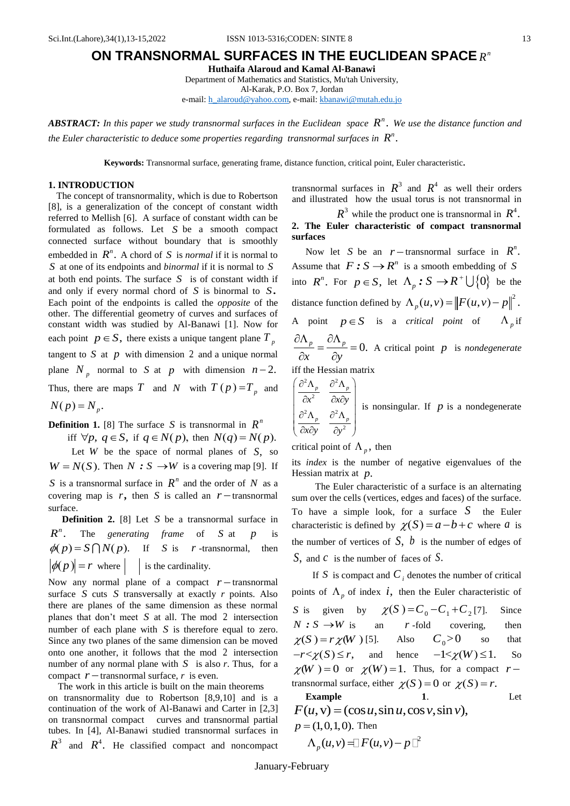## **ON TRANSNORMAL SURFACES IN THE EUCLIDEAN SPACE** *n R*

**Huthaifa Alaroud and Kamal Al-Banawi**

Department of Mathematics and Statistics, Mu'tah University, Al-Karak, P.O. Box 7, Jordan

e-mail[: h\\_alaroud@yahoo.com,](mailto:h_alaroud@yahoo.com) e-mail: [kbanawi@mutah.edu.jo](mailto:kbanawi@mutah.edu.jo)

*ABSTRACT:* In this paper we study transnormal surfaces in the Euclidean space  $R^n$ . We use the distance function and *the Euler characteristic to deduce some properties regarding transnormal surfaces in*  $R^n$ .

**Keywords:** Transnormal surface, generating frame, distance function, critical point, Euler characteristic*.*

## **1. INTRODUCTION**

The concept of transnormality, which is due to Robertson [8], is a generalization of the concept of constant width referred to Mellish [6]. A surface of constant width can be formulated as follows. Let *S* be a smooth compact connected surface without boundary that is smoothly embedded in  $R^n$ . A chord of S is *normal* if it is normal to *S* at one of its endpoints and *binormal* if it is normal to *S* at both end points. The surface *S* is of constant width if and only if every normal chord of S is binormal to S. Each point of the endpoints is called the *opposite* of the other. The differential geometry of curves and surfaces of constant width was studied by Al-Banawi [1]. Now for each point  $p \in S$ , there exists a unique tangent plane  $T_p$ tangent to  $S$  at  $p$  with dimension 2 and a unique normal plane  $N_p$  normal to S at p with dimension  $n-2$ . Thus, there are maps T and N with  $T(p) = T_p$  and  $N(p) = N_p$ .

**Definition 1.** [8] The surface S is transnormal in  $R^n$ 

iff  $\forall p, q \in S$ , if  $q \in N(p)$ , then  $N(q) = N(p)$ . Let *W* be the space of normal planes of *S*, so  $W = N(S)$ . Then  $N : S \rightarrow W$  is a covering map [9]. If *S* is a transnormal surface in  $R^n$  and the order of N as a covering map is  $r$ , then *S* is called an  $r$  -transnormal surface.

**Definition 2.** [8] Let S be a transnormal surface in  $R^n$ . The *generating frame* of *S* at *p* is  $\phi(p) = S \bigcap N(p)$ . If *S* is *r* -transnormal, then  $|\phi(p)| = r$  where if is the cardinality.

Now any normal plane of a compact  $r$  – transnormal surface *S* cuts *S* transversally at exactly *r* points. Also there are planes of the same dimension as these normal planes that don't meet *S* at all. The mod 2 intersection number of each plane with *S* is therefore equal to zero. Since any two planes of the same dimension can be moved onto one another, it follows that the mod 2 intersection number of any normal plane with  $S$  is also  $r$ . Thus, for a compact  $r$  – transnormal surface,  $r$  is even.

 The work in this article is built on the main theorems on transnormality due to Robertson [8,9,10] and is a continuation of the work of Al-Banawi and Carter in [2,3] on transnormal compact curves and transnormal partial tubes. In [4], Al-Banawi studied transnormal surfaces in  $R^3$  and  $R^4$ . He classified compact and noncompact

transnormal surfaces in  $R^3$  and  $R^4$  as well their orders and illustrated how the usual torus is not transnormal in

 $R^3$  while the product one is transnormal in  $R^4$ . **2. The Euler characteristic of compact transnormal surfaces**

Now let *S* be an  $r$  -transnormal surface in  $R^n$ . Assume that  $F : S \to \mathbb{R}^n$  is a smooth embedding of S into  $R^n$ . For  $p \in S$ , let  $\Lambda_p : S \to R^+ \cup \{0\}$  be the distance function defined by  $\Lambda_p(u, v) = ||F(u, v) - p||^2$ . A point  $p \in S$  is a *critical point* of  $\Lambda_p$  if  $\frac{p}{p} = \frac{U \Lambda_p}{2} = 0.$  $\alpha$   $\partial y$  $\partial \Lambda_n$   $\partial \Lambda$  $=\frac{U_1 V_p}{2} = 0$  $\frac{\partial^2 P}{\partial x^2} = \frac{\partial^2 P}{\partial y^2} = 0$ . A critical point *p* is *nondegenerate* iff the Hessian matrix

$$
\begin{pmatrix}\n\frac{\partial^2 \Lambda_p}{\partial x^2} & \frac{\partial^2 \Lambda_p}{\partial x \partial y} \\
\frac{\partial^2 \Lambda_p}{\partial x \partial y} & \frac{\partial^2 \Lambda_p}{\partial y^2}\n\end{pmatrix}
$$
 is nonsingular. If *p* is a nondegenerate

critical point of  $\Lambda_p$ , then

its *index* is the number of negative eigenvalues of the Hessian matrix at *p*.

 The Euler characteristic of a surface is an alternating sum over the cells (vertices, edges and faces) of the surface. To have a simple look, for a surface  $S$  the Euler characteristic is defined by  $\chi(S) = a - b + c$  where a is the number of vertices of  $S$ ,  $b$  is the number of edges of *S*, and *c* is the number of faces of *S*.

If S is compact and  $C_i$  denotes the number of critical points of  $\Lambda_p$  of index *i*, then the Euler characteristic of *S* is given by  $\chi(S) = C_0 - C_1 + C_2$ Since  $N : S \rightarrow W$  is an *r* -fold covering, then  $\chi(S) = r \chi(W)$  [5]. Also Also  $C_0>0$  so that  $-r < \chi(S) \le r$ , and hence  $-1 < \chi(W) \le 1$ . So  $\chi(W) = 0$  or  $\chi(W) = 1$ . Thus, for a compact rtransnormal surface, either  $\chi(S) = 0$  or  $\chi(S) = r$ . have a simple look, for a surface *S*<br>
racteristic is defined by  $\chi(S) = a - b + c$ <br>
number of vertices of *S*, *b* is the numbe<br>
and *C* is the number of faces of *S*.<br>
If *S* is compact and *C*<sub>*i*</sub> denotes the num<br>
tus of  $\$ 

Example 1.  
\n
$$
F(u, v) = (\cos u, \sin u, \cos v, \sin v),
$$
\n
$$
p = (1, 0, 1, 0).
$$
 Then  
\n
$$
\Lambda_p(u, v) = F(u, v) - p
$$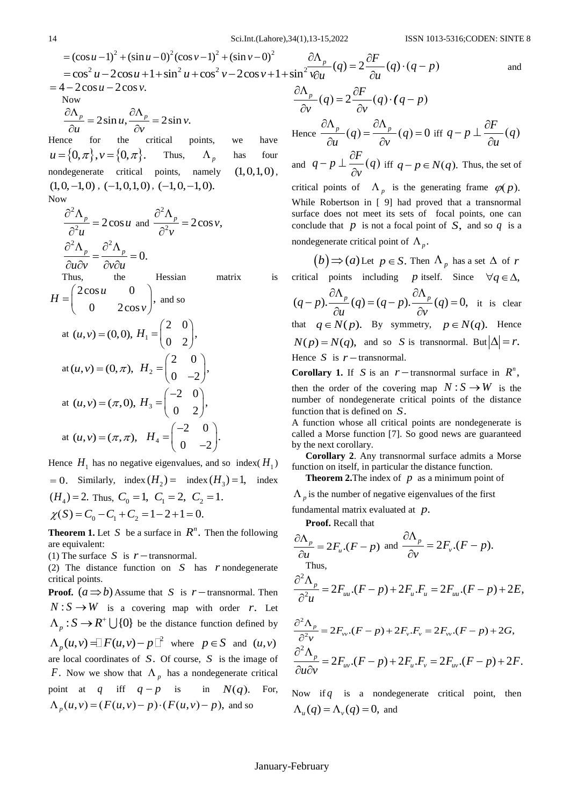Now  $\frac{p}{p} = 2\sin u, \frac{\partial \Lambda_p}{\partial y} = 2\sin v.$  $\frac{v_p}{u} = 2\sin u, \frac{\partial^2 v}{\partial v}$ Now<br> $\partial \Lambda_p$   $\partial \Lambda_p$  $=2\sin u, \frac{\partial \Lambda_p}{\partial x} = 2\sin \frac{\partial \Lambda_p}{\partial y} = 2\sin \frac{\pi}{2}$  $\frac{\partial^2 V_p}{\partial u} = 2 \sin u, \frac{\partial^2 V_p}{\partial v} =$ Hence for the critical points, we have  $u = \{0, \pi\}, v = \{0, \pi\}.$ Thus,  $\Lambda_p$ has four nondegenerate critical points, namely  $(1,0,1,0)$ ,  $(1,0,-1,0)$ ,  $(-1,0,1,0)$ ,  $(-1,0,-1,0)$ . Now

$$
\frac{\partial^2 \Lambda_p}{\partial^2 u} = 2 \cos u \text{ and } \frac{\partial^2 \Lambda_p}{\partial^2 v} = 2 \cos v,
$$
  

$$
\frac{\partial^2 \Lambda_p}{\partial u \partial v} = \frac{\partial^2 \Lambda_p}{\partial v \partial u} = 0.
$$

Thus, the Hessian matrix is

14 
$$
3x \sinh(t, \text{Labor}) \cdot 3(1), 13-15 = (cos u-1)2 + (sin u - 0)2 (cos v - 1)2 + (sin v - 0)2  $\frac{\partial \Lambda_p}{\partial \nu} = 2 \cos u + 1 + \sin^2 u + \cos^2 v - 2 \cos v + 1 + \sin^2 v \frac{\partial \Lambda_p}{\partial \nu} = 4 - 2 \cos u - 2 \cos v.$   
\nNow  
\n
$$
\frac{\partial \Lambda_p}{\partial u} = 2 \sin u, \frac{\partial \Lambda_p}{\partial v} = 2 \sin v.
$$
  
\nHence for the critical points, we have Hence  $\frac{\partial \Lambda_p}{\partial v}$  (4)  
\n $u = \{0, \pi\}, v = \{0, \pi\}.$  Thus,  $\Lambda_p$  has four  
\nnondegenerate critical points, namely (1,0,1,0), and  $q - v$  while Re  
\n $\frac{\partial^2 \Lambda_p}{\partial u^2} = 2 \cos u$  and  $\frac{\partial^2 \Lambda_p}{\partial^2 v} = 2 \cos v$ ,  
\n $\frac{\partial^2 \Lambda_p}{\partial u \partial v} = \frac{\partial^2 \Lambda_p}{\partial v \partial u} = 0.$   
\nThus, the Hessian matrix is critical  
\n $H = \begin{pmatrix} 2 \cos u & 0 \\ 0 & 2 \cos v \end{pmatrix}$ , and so  
\nat  $(u, v) = (0, 0), H_1 = \begin{pmatrix} 2 & 0 \\ 0 & 2 \end{pmatrix}$ , that  $q \in \mathbb{Z}$   
\nat  $(u, v) = (\pi, 0), H_2 = \begin{pmatrix} 2 & 0 \\ 0 & 2 \end{pmatrix}$ ,  
\nat  $(u, v) = (\pi, \pi), H_3 = \begin{pmatrix} -2 & 0 \\ 0 & 2 \end{pmatrix}$ ,  
\n $H = (0, -2)$   
\nHence  $H_1$  has no negative eigenvalues, and so index  $(H_1)$  function  
\nat  $(u, v) = (\pi, \pi), H_4 = \begin{pmatrix} -2 & 0 \\ 0 & -2 \end{pmatrix}$ ,  
\nHence  $H_1$  has no negative eigenvalues, and so index  $(H_1)$  function  
\
$$

Hence  $H_1$  has no negative eigenvalues, and so index( $H_1$ )  $= 0$ . Similarly, index  $(H_2) =$  index  $(H_3) = 1$ , index  $(H_4) = 2$ . Thus,  $C_0 = 1$ ,  $C_1 = 2$ ,  $C_2 = 1$ .  $\chi(S) = C_0 - C_1 + C_2 = 1 - 2 + 1 = 0.$ 

**Theorem 1.** Let S be a surface in  $R^n$ . Then the following are equivalent:

(1) The surface *S* is  $r$  – transnormal.

(2) The distance function on  $S$  has  $r$  nondegenerate critical points.

**Proof.**  $(a \Rightarrow b)$  Assume that S is r – transnormal. Then  $N: S \to W$  is a covering map with order *r*. Let  $\Lambda_p : S \to R^+ \cup \{0\}$  be the distance function defined by  $\Lambda_p(u, v) = F(u, v) - p \Box^2$  where  $p \in S$  and  $(u, v)$ are local coordinates of *S*. Of course, *S* is the image of *F*. Now we show that  $\Lambda_p$  has a nondegenerate critical point at  $q$  iff  $q - p$  is in in  $N(q)$ . For, point at q iff  $q-p$  is in  $N(q)$ .<br>  $\Lambda_p(u,v) = (F(u,v)-p) \cdot (F(u,v)-p)$ , and so

 $\frac{p}{q}(q) = 2 \frac{\partial F}{\partial q}(q) \cdot (q - p)$  $u^{\frac{p}{\alpha}}(q) = 2 \frac{\partial u}{\partial u}$  $\frac{\partial \Lambda_p}{\partial p}(q) = 2 \frac{\partial F}{\partial q}(q) \cdot (q-p)$  $\frac{\partial^2 p}{\partial u}(q) = 2 \frac{\partial^2 p}{\partial u}(q)$ and  $\frac{p}{\rho}(q) = 2 \frac{\partial F}{\partial q} (q) \cdot (q - p)$  $\frac{P_p}{\partial v}(q) = 2 \frac{\partial P}{\partial v}$  $\frac{\partial \Lambda_p}{\partial x}(q) = 2 \frac{\partial F}{\partial x}(q) \cdot (q-p)$  $\frac{d^{2}P}{dx^{2}}(q) = 2\frac{\partial P}{\partial y}(q) \cdot (q)$ Hence  $\frac{\partial \Lambda_p}{\partial q} (q) = \frac{\partial \Lambda_p}{\partial q} (q) = 0$  $\frac{v}{u}(q) = \frac{v}{\partial v}$  $\partial \Lambda_{p}$   $\partial \Lambda_{p}$  $(q) = \frac{\partial \Lambda_p}{\partial q}(q) = 0$  $\frac{\partial \Lambda_p}{\partial u}(q) = \frac{\partial \Lambda_p}{\partial v}(q) = 0$  iff  $q - p \perp \frac{\partial F}{\partial u}(q)$ *u*  $-p \perp \frac{\partial F}{\partial (q)}$  $\hat{o}$ and  $q-p\perp \frac{\partial F}{\partial q}(q)$ *v*  $-p \perp \frac{\partial F}{\partial q}(q)$  is  $\frac{\partial Y}{\partial v}(q)$  iff  $q-p \in N(q)$ . Thus, the set of critical points of  $\Lambda_p$  is the generating frame  $\varphi(p)$ . While Robertson in [ 9] had proved that a transnormal surface does not meet its sets of focal points, one can conclude that  $p$  is not a focal point of  $S$ , and so  $q$  is a

nondegenerate critical point of  $\Lambda_p$ .

 $b \implies (a)$  Let  $p \in S$ . Then  $\Lambda_p$  has a set  $\Delta$  of r critical points including *p* itself. Since  $\forall q \in \Delta$ ,  $(q-p).\frac{\partial \Lambda_p}{\partial q}(q) = (q-p).\frac{\partial \Lambda_p}{\partial q}(q) = 0,$  $\frac{\Delta_p}{u}(q) = (q-p)\frac{\partial \Lambda}{\partial v}$ points including *p* itself.<br>  $\partial \Lambda_p$  (c) = (c, n)  $\partial \Lambda_p$  $(-p)\cdot \frac{\partial \Lambda_p}{\partial x}(q) = (q-p)\cdot \frac{\partial \Lambda_p}{\partial y}(q) = 0$ , if  $\frac{\partial \Lambda_p}{\partial u}(q) = (q-p) \cdot \frac{\partial \Lambda_p}{\partial v}(q)$ it is clear that  $q \in N(p)$ . By symmetry,  $p \in N(q)$ . Hence  $N(p) = N(q)$ , and so *S* is transnormal. But  $\left|\Delta\right| = r$ . Hence *S* is  $r$  – transnormal.

**Corollary 1.** If *S* is an  $r$ -transnormal surface in  $R^n$ , then the order of the covering map  $N: S \to W$  is the number of nondegenerate critical points of the distance function that is defined on *S*.

A function whose all critical points are nondegenerate is called a Morse function [7]. So good news are guaranteed by the next corollary.

**Corollary 2**. Any transnormal surface admits a Morse function on itself, in particular the distance function.

**Theorem 2.** The index of  $p$  as a minimum point of

 $\Lambda_p$  is the number of negative eigenvalues of the first

fundamental matrix evaluated at *p*.

**Proof.** Recall that

$$
\frac{\partial \Lambda_p}{\partial u} = 2F_u \cdot (F - p) \text{ and } \frac{\partial \Lambda_p}{\partial v} = 2F_v \cdot (F - p).
$$
\nThus,\n
$$
\frac{\partial^2 \Lambda_p}{\partial^2 u} = 2F_{uu} \cdot (F - p) + 2F_u \cdot F_u = 2F_{uu} \cdot (F - p) + 2E,
$$
\n
$$
\frac{\partial^2 \Lambda_p}{\partial u} = 2F_u \cdot (F - p) + 2F_u \cdot F = 2F_u \cdot (F - p) + 2G.
$$

$$
\frac{\partial^2 \Lambda_p}{\partial^2 v} = 2F_{vv} \cdot (F - p) + 2F_{v} \cdot F_v = 2F_{vv} \cdot (F - p) + 2G,
$$
  

$$
\frac{\partial^2 \Lambda_p}{\partial u \partial v} = 2F_{uv} \cdot (F - p) + 2F_{u} \cdot F_v = 2F_{uv} \cdot (F - p) + 2F.
$$

Now if  $q$  is a nondegenerate critical point, then  $\Lambda_u(q) = \Lambda_v(q) = 0$ , and